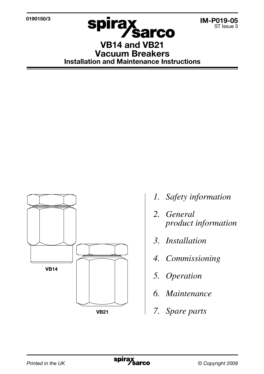0190150/3



IM-P019-05 ST Issue 3

## VB14 and VB21 Vacuum Breakers Installation and Maintenance Instructions



- *1. Safety information*
- *2. General product information*
- *3. Installation*
- *4. Commissioning*
- *5. Operation*
- *6. Maintenance*
- *7. Spare parts*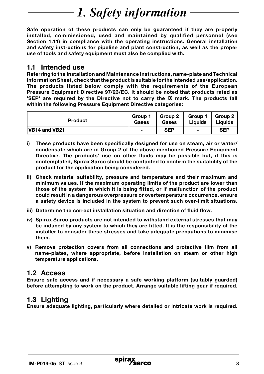# *1. Safety information*

Safe operation of these products can only be guaranteed if they are properly installed, commissioned, used and maintained by qualified personnel (see Section 1.11) in compliance with the operating instructions. General installation and safety instructions for pipeline and plant construction, as well as the proper use of tools and safety equipment must also be complied with.

### 1.1 Intended use

Referring to the Installation and Maintenance Instructions, name-plate and Technical Information Sheet, check that the product is suitable for the intended use/application. The products listed below comply with the requirements of the European Pressure Equipment Directive 97/23/EC. It should be noted that products rated as 'SEP' are required by the Directive not to carry the C mark. The products fall within the following Pressure Equipment Directive categories:

| <b>Product</b> | Group 1        | Group 2    | Group 1                  | Group 2    |
|----------------|----------------|------------|--------------------------|------------|
|                | Gases          | Gases      | Liauids                  | Liauids    |
| VB14 and VB21  | $\blacksquare$ | <b>SEP</b> | $\overline{\phantom{0}}$ | <b>SEP</b> |

- i) These products have been specifically designed for use on steam, air or water/ condensate which are in Group 2 of the above mentioned Pressure Equipment Directive. The products' use on other fluids may be possible but, if this is contemplated, Spirax Sarco should be contacted to confirm the suitability of the product for the application being considered.
- ii) Check material suitability, pressure and temperature and their maximum and minimum values. If the maximum operating limits of the product are lower than those of the system in which it is being fitted, or if malfunction of the product could result in a dangerous overpressure or overtemperature occurrence, ensure a safety device is included in the system to prevent such over-limit situations.
- iii) Determine the correct installation situation and direction of fluid flow.
- iv) Spirax Sarco products are not intended to withstand external stresses that may be induced by any system to which they are fitted. It is the responsibility of the installer to consider these stresses and take adequate precautions to minimise them.
- v) Remove protection covers from all connections and protective film from all name-plates, where appropriate, before installation on steam or other high temperature applications.

### 1.2 Access

Ensure safe access and if necessary a safe working platform (suitably guarded) before attempting to work on the product. Arrange suitable lifting gear if required.

## 1.3 Lighting

Ensure adequate lighting, particularly where detailed or intricate work is required.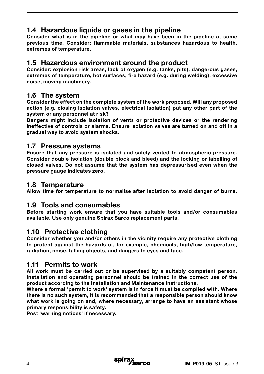## 1.4 Hazardous liquids or gases in the pipeline

Consider what is in the pipeline or what may have been in the pipeline at some previous time. Consider: flammable materials, substances hazardous to health, extremes of temperature.

### 1.5 Hazardous environment around the product

Consider: explosion risk areas, lack of oxygen (e.g. tanks, pits), dangerous gases, extremes of temperature, hot surfaces, fire hazard (e.g. during welding), excessive noise, moving machinery.

### 1.6 The system

Consider the effect on the complete system of the work proposed. Will any proposed action (e.g. closing isolation valves, electrical isolation) put any other part of the system or any personnel at risk?

Dangers might include isolation of vents or protective devices or the rendering ineffective of controls or alarms. Ensure isolation valves are turned on and off in a gradual way to avoid system shocks.

#### 1.7 Pressure systems

Ensure that any pressure is isolated and safely vented to atmospheric pressure. Consider double isolation (double block and bleed) and the locking or labelling of closed valves. Do not assume that the system has depressurised even when the pressure gauge indicates zero.

## 1.8 Temperature

Allow time for temperature to normalise after isolation to avoid danger of burns.

## 1.9 Tools and consumables

Before starting work ensure that you have suitable tools and/or consumables available. Use only genuine Spirax Sarco replacement parts.

#### 1.10 Protective clothing

Consider whether you and/or others in the vicinity require any protective clothing to protect against the hazards of, for example, chemicals, high/low temperature, radiation, noise, falling objects, and dangers to eyes and face.

#### 1.11 Permits to work

All work must be carried out or be supervised by a suitably competent person. Installation and operating personnel should be trained in the correct use of the product according to the Installation and Maintenance Instructions.

Where a formal 'permit to work' system is in force it must be complied with. Where there is no such system, it is recommended that a responsible person should know what work is going on and, where necessary, arrange to have an assistant whose primary responsibility is safety.

Post 'warning notices' if necessary.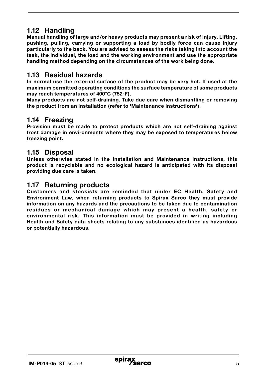## 1.12 Handling

Manual handling of large and/or heavy products may present a risk of injury. Lifting, pushing, pulling, carrying or supporting a load by bodily force can cause injury particularly to the back. You are advised to assess the risks taking into account the task, the individual, the load and the working environment and use the appropriate handling method depending on the circumstances of the work being done.

## 1.13 Residual hazards

In normal use the external surface of the product may be very hot. If used at the maximum permitted operating conditions the surface temperature of some products may reach temperatures of 400°C (752°F).

Many products are not self-draining. Take due care when dismantling or removing the product from an installation (refer to 'Maintenance instructions').

## 1.14 Freezing

Provision must be made to protect products which are not self-draining against frost damage in environments where they may be exposed to temperatures below freezing point.

## 1.15 Disposal

Unless otherwise stated in the Installation and Maintenance Instructions, this product is recyclable and no ecological hazard is anticipated with its disposal providing due care is taken.

#### 1.17 Returning products

Customers and stockists are reminded that under EC Health, Safety and Environment Law, when returning products to Spirax Sarco they must provide information on any hazards and the precautions to be taken due to contamination residues or mechanical damage which may present a health, safety or environmental risk. This information must be provided in writing including Health and Safety data sheets relating to any substances identified as hazardous or potentially hazardous.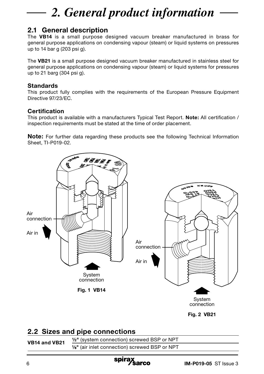# *2. General product information*

## 2.1 General description

The VB14 is a small purpose designed vacuum breaker manufactured in brass for general purpose applications on condensing vapour (steam) or liquid systems on pressures up to 14 bar g (203 psi g).

The VB21 is a small purpose designed vacuum breaker manufactured in stainless steel for general purpose applications on condensing vapour (steam) or liquid systems for pressures up to 21 barg (304 psi g).

#### **Standards**

This product fully complies with the requirements of the European Pressure Equipment Directive 97/23/EC.

#### Certification

This product is available with a manufacturers Typical Test Report. Note: All certification / inspection requirements must be stated at the time of order placement.

Note: For further data regarding these products see the following Technical Information Sheet, TI-P019-02.



Fig. 2 VB21

## 2.2 Sizes and pipe connections

| VB14 and VB21 | 1/2" (system connection) screwed BSP or NPT    |
|---------------|------------------------------------------------|
|               | 1/8" (air inlet connection) screwed BSP or NPT |

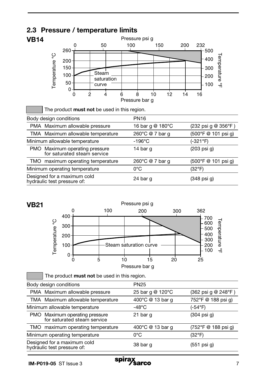



| The product <b>must not</b> be used in this region.           |                  |                     |  |  |
|---------------------------------------------------------------|------------------|---------------------|--|--|
| Body design conditions                                        | <b>PN25</b>      |                     |  |  |
| PMA Maximum allowable pressure                                | 25 bar g @ 120°C | (362 psi g @ 248°F) |  |  |
| TMA Maximum allowable temperature                             | 400°C @ 13 bar q | 752°F @ 188 psi g)  |  |  |
| Minimum allowable temperature                                 | $-48^{\circ}$ C  | (-54°F)             |  |  |
| PMO Maximum operating pressure<br>for saturated steam service | 21 bar q         | (304 psi q)         |  |  |
| TMO maximum operating temperature                             | 400°C @ 13 bar g | (752°F @ 188 psi q) |  |  |
| Minimum operating temperature                                 | $0^{\circ}$ C    | $(32^{\circ}F)$     |  |  |
| Designed for a maximum cold<br>hydraulic test pressure of:    | 38 bar g         | (551 psi g)         |  |  |
|                                                               |                  |                     |  |  |

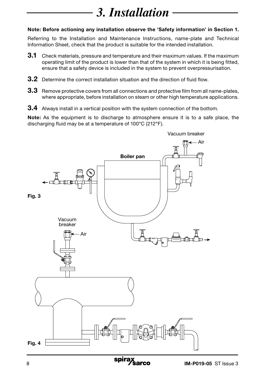# *3. Installation*

#### Note: Before actioning any installation observe the 'Safety information' in Section 1.

Referring to the Installation and Maintenance Instructions, name-plate and Technical Information Sheet, check that the product is suitable for the intended installation.

- **3.1** Check materials, pressure and temperature and their maximum values. If the maximum operating limit of the product is lower than that of the system in which it is being fitted, ensure that a safety device is included in the system to prevent overpressurisation.
- **3.2** Determine the correct installation situation and the direction of fluid flow.
- 3.3 Remove protective covers from all connections and protective film from all name-plates, where appropriate, before installation on steam or other high temperature applications.
- **3.4** Always install in a vertical position with the system connection of the bottom.

Note: As the equipment is to discharge to atmosphere ensure it is to a safe place, the discharging fluid may be at a temperature of 100°C (212°F).

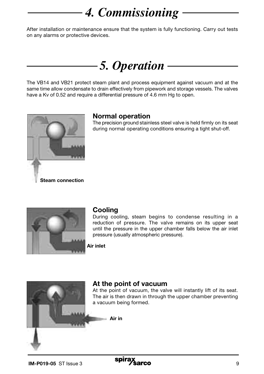# *4. Commissioning*

After installation or maintenance ensure that the system is fully functioning. Carry out tests on any alarms or protective devices.



The VB14 and VB21 protect steam plant and process equipment against vacuum and at the same time allow condensate to drain effectively from pipework and storage vessels. The valves have a Ky of 0.52 and require a differential pressure of 4.6 mm Hg to open.



### Normal operation

The precision ground stainless steel valve is held firmly on its seat during normal operating conditions ensuring a tight shut-off.



#### Cooling

During cooling, steam begins to condense resulting in a reduction of pressure. The valve remains on its upper seat until the pressure in the upper chamber falls below the air inlet pressure (usually atmospheric pressure).

Air inlet



#### At the point of vacuum

At the point of vacuum, the valve will instantly lift of its seat. The air is then drawn in through the upper chamber preventing a vacuum being formed.

Air in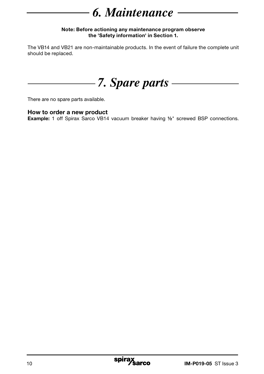# *6. Maintenance*

#### Note: Before actioning any maintenance program observe the 'Safety information' in Section 1.

The VB14 and VB21 are non-maintainable products. In the event of failure the complete unit should be replaced.



There are no spare parts available.

#### How to order a new product

Example: 1 off Spirax Sarco VB14 vacuum breaker having ½" screwed BSP connections.